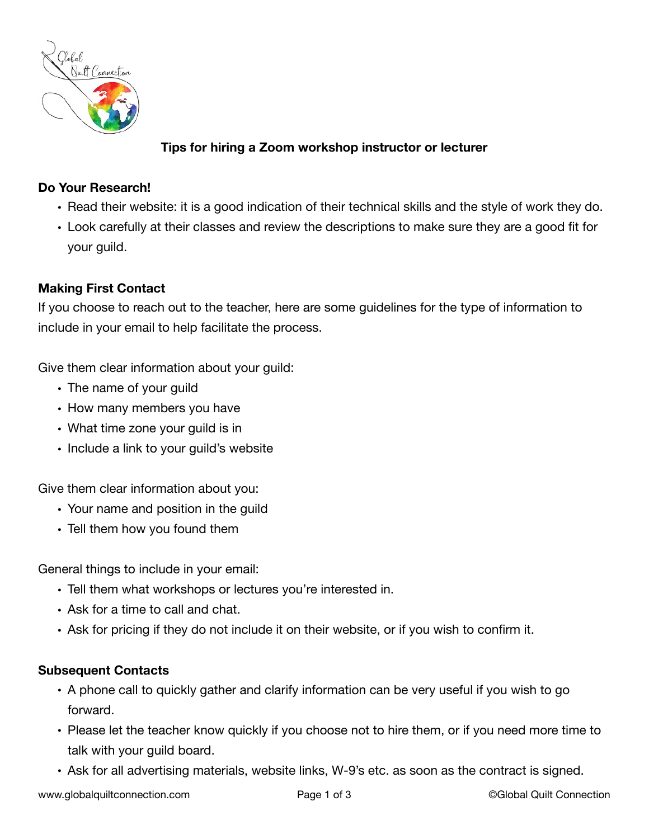

# **Tips for hiring a Zoom workshop instructor or lecturer**

### **Do Your Research!**

- Read their website: it is a good indication of their technical skills and the style of work they do.
- Look carefully at their classes and review the descriptions to make sure they are a good fit for your guild.

## **Making First Contact**

If you choose to reach out to the teacher, here are some guidelines for the type of information to include in your email to help facilitate the process.

Give them clear information about your guild:

- The name of your guild
- How many members you have
- What time zone your guild is in
- Include a link to your guild's website

Give them clear information about you:

- Your name and position in the guild
- Tell them how you found them

General things to include in your email:

- Tell them what workshops or lectures you're interested in.
- Ask for a time to call and chat.
- Ask for pricing if they do not include it on their website, or if you wish to confirm it.

#### **Subsequent Contacts**

- A phone call to quickly gather and clarify information can be very useful if you wish to go forward.
- Please let the teacher know quickly if you choose not to hire them, or if you need more time to talk with your guild board.
- Ask for all advertising materials, website links, W-9's etc. as soon as the contract is signed.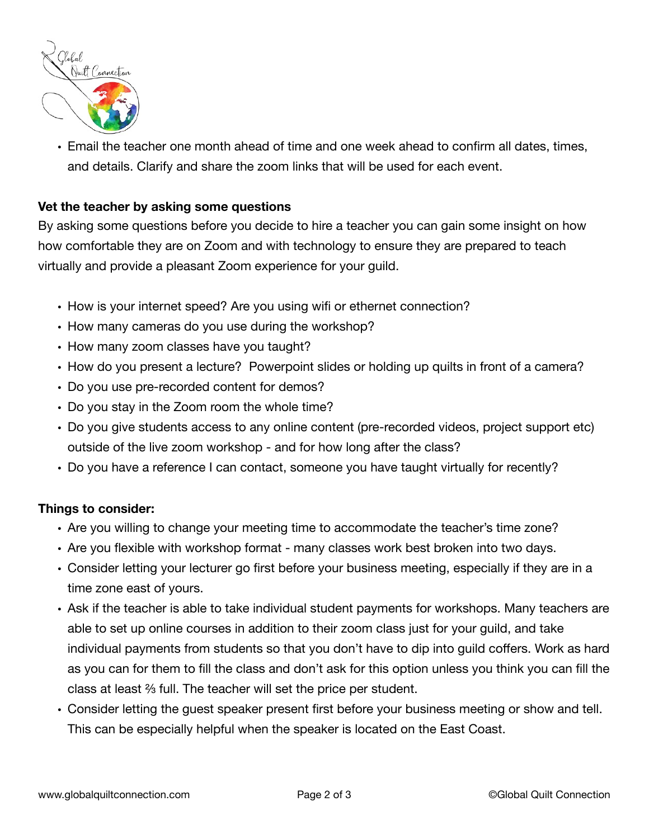

• Email the teacher one month ahead of time and one week ahead to confirm all dates, times, and details. Clarify and share the zoom links that will be used for each event.

#### **Vet the teacher by asking some questions**

By asking some questions before you decide to hire a teacher you can gain some insight on how how comfortable they are on Zoom and with technology to ensure they are prepared to teach virtually and provide a pleasant Zoom experience for your guild.

- How is your internet speed? Are you using wifi or ethernet connection?
- How many cameras do you use during the workshop?
- How many zoom classes have you taught?
- How do you present a lecture? Powerpoint slides or holding up quilts in front of a camera?
- Do you use pre-recorded content for demos?
- Do you stay in the Zoom room the whole time?
- Do you give students access to any online content (pre-recorded videos, project support etc) outside of the live zoom workshop - and for how long after the class?
- Do you have a reference I can contact, someone you have taught virtually for recently?

#### **Things to consider:**

- Are you willing to change your meeting time to accommodate the teacher's time zone?
- Are you flexible with workshop format many classes work best broken into two days.
- Consider letting your lecturer go first before your business meeting, especially if they are in a time zone east of yours.
- Ask if the teacher is able to take individual student payments for workshops. Many teachers are able to set up online courses in addition to their zoom class just for your guild, and take individual payments from students so that you don't have to dip into guild coffers. Work as hard as you can for them to fill the class and don't ask for this option unless you think you can fill the class at least ⅔ full. The teacher will set the price per student.
- Consider letting the guest speaker present first before your business meeting or show and tell. This can be especially helpful when the speaker is located on the East Coast.